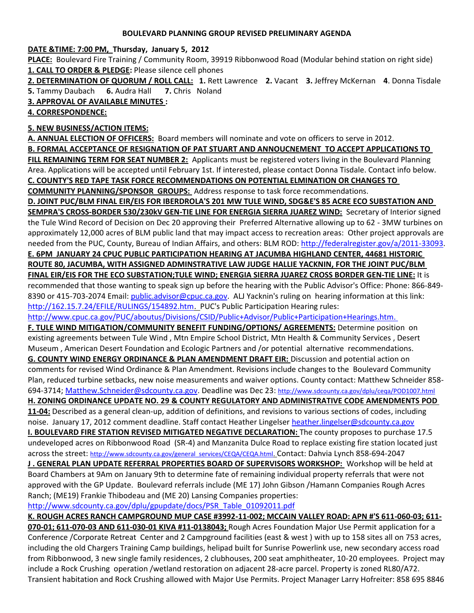#### **BOULEVARD PLANNING GROUP REVISED PRELIMINARY AGENDA**

#### **DATE &TIME: 7:00 PM, Thursday, January 5, 2012**

**PLACE:** Boulevard Fire Training / Community Room, 39919 Ribbonwood Road (Modular behind station on right side) **1. CALL TO ORDER & PLEDGE:** Please silence cell phones

**2. DETERMINATION OF QUORUM / ROLL CALL: 1.** Rett Lawrence **2.** Vacant **3.** Jeffrey McKernan **4**. Donna Tisdale **5.** Tammy Daubach **6.** Audra Hall **7.** Chris Noland

### **3. APPROVAL OF AVAILABLE MINUTES :**

**4. CORRESPONDENCE:** 

## **5. NEW BUSINESS/ACTION ITEMS:**

**A. ANNUAL ELECTION OF OFFICERS:** Board members will nominate and vote on officers to serve in 2012.

**B. FORMAL ACCEPTANCE OF RESIGNATION OF PAT STUART AND ANNOUCNEMENT TO ACCEPT APPLICATIONS TO** 

**FILL REMAINING TERM FOR SEAT NUMBER 2:** Applicants must be registered voters living in the Boulevard Planning Area. Applications will be accepted until February 1st. If interested, please contact Donna Tisdale. Contact info below. **C. COUNTY'S RED TAPE TASK FORCE RECOMMENDATIONS ON POTENTIAL ELMINATION OR CHANGES TO** 

**COMMUNITY PLANNING/SPONSOR GROUPS:** Address response to task force recommendations.

**D. JOINT PUC/BLM FINAL EIR/EIS FOR IBERDROLA'S 201 MW TULE WIND, SDG&E'S 85 ACRE ECO SUBSTATION AND** 

**SEMPRA'S CROSS-BORDER 530/230kV GEN-TIE LINE FOR ENERGIA SIERRA JUAREZ WIND:** Secretary of Interior signed the Tule Wind Record of Decision on Dec 20 approving their Preferred Alternative allowing up to 62 - 3MW turbines on approximately 12,000 acres of BLM public land that may impact access to recreation areas: Other project approvals are needed from the PUC, County, Bureau of Indian Affairs, and others: BLM ROD: [http://federalregister.gov/a/2011-33093.](http://federalregister.gov/a/2011-33093)

**E. 6PM JANUARY 24 CPUC PUBLIC PARTICIPATION HEARING AT JACUMBA HIGHLAND CENTER, 44681 HISTORIC ROUTE 80, JACUMBA, WITH ASSIGNED ADMINSTRATIVE LAW JUDGE HALLIE YACKNIN, FOR THE JOINT PUC/BLM FINAL EIR/EIS FOR THE ECO SUBSTATION;TULE WIND; ENERGIA SIERRA JUAREZ CROSS BORDER GEN-TIE LINE:** It is

recommended that those wanting to speak sign up before the hearing with the Public Advisor's Office: Phone: 866-849 8390 or 415-703-2074 Email: [public.advisor@cpuc.ca.gov.](mailto:public.advisor@cpuc.ca.gov) ALJ Yacknin's ruling on hearing information at this link: [http://162.15.7.24/EFILE/RULINGS/154892.htm.](http://162.15.7.24/EFILE/RULINGS/154892.htm) PUC's Public Participation Hearing rules:

<http://www.cpuc.ca.gov/PUC/aboutus/Divisions/CSID/Public+Advisor/Public+Participation+Hearings.htm.>

**F. TULE WIND MITIGATION/COMMUNITY BENEFIT FUNDING/OPTIONS/ AGREEMENTS:** Determine position on existing agreements between Tule Wind , Mtn Empire School District, Mtn Health & Community Services , Desert Museum , American Desert Foundation and Ecologic Partners and /or potential alternative recommendations. **G. COUNTY WIND ENERGY ORDINANCE & PLAN AMENDMENT DRAFT EIR:** Discussion and potential action on

comments for revised Wind Ordinance & Plan Amendment. Revisions include changes to the Boulevard Community Plan, reduced turbine setbacks, new noise measurements and waiver options. County contact: Matthew Schneider 858- 694-3714; [Matthew.Schneider@sdcounty.ca.gov.](file:///C:/Users/Donna%20and%20Ed/Documents/Matthew.Schneider@sdcounty.ca.gov) Deadline was Dec 23: <http://www.sdcounty.ca.gov/dplu/ceqa/POD1007.html>

## **H. ZONING ORDINANCE UPDATE NO. 29 & COUNTY REGULATORY AND ADMINISTRATIVE CODE AMENDMENTS POD**

**11-04:** Described as a general clean-up, addition of definitions, and revisions to various sections of codes, including noise. January 17, 2012 comment deadline. Staff contact Heather Lingelser [heather.lingelser@sdcounty.ca.gov](heather.lingelser@sdcounty.ca.gov%20)

**I. BOULEVARD FIRE STATION REVISED MITIGATED NEGATIVE DECLARATION:** The county proposes to purchase 17.5 undeveloped acres on Ribbonwood Road (SR-4) and Manzanita Dulce Road to replace existing fire station located just across the street: [http://www.sdcounty.ca.gov/general\\_services/CEQA/CEQA.html.](http://www.sdcounty.ca.gov/general_services/CEQA/CEQA.html) Contact: Dahvia Lynch 858-694-2047

**J . GENERAL PLAN UPDATE REFERRAL PROPERTIES BOARD OF SUPERVISORS WORKSHOP:** Workshop will be held at Board Chambers at 9Am on January 9th to determine fate of remaining individual property referrals that were not approved with the GP Update. Boulevard referrals include (ME 17) John Gibson /Hamann Companies Rough Acres Ranch; (ME19) Frankie Thibodeau and (ME 20) Lansing Companies properties:

[http://www.sdcounty.ca.gov/dplu/gpupdate/docs/PSR\\_Table\\_01092011.pdf](http://www.sdcounty.ca.gov/dplu/gpupdate/docs/PSR_Table_01092011.pdf) 

**K. ROUGH ACRES RANCH CAMPGROUND MUP CASE #3992-11-002; MCCAIN VALLEY ROAD: APN #'S 611-060-03; 611- 070-01; 611-070-03 AND 611-030-01 KIVA #11-0138043;** Rough Acres Foundation Major Use Permit application for a Conference /Corporate Retreat Center and 2 Campground facilities (east & west ) with up to 158 sites all on 753 acres, including the old Chargers Training Camp buildings, helipad built for Sunrise Powerlink use, new secondary access road from Ribbonwood, 3 new single family residences, 2 clubhouses, 200 seat amphitheater, 10-20 employees. Project may include a Rock Crushing operation /wetland restoration on adjacent 28-acre parcel. Property is zoned RL80/A72. Transient habitation and Rock Crushing allowed with Major Use Permits. Project Manager Larry Hofreiter: 858 695 8846